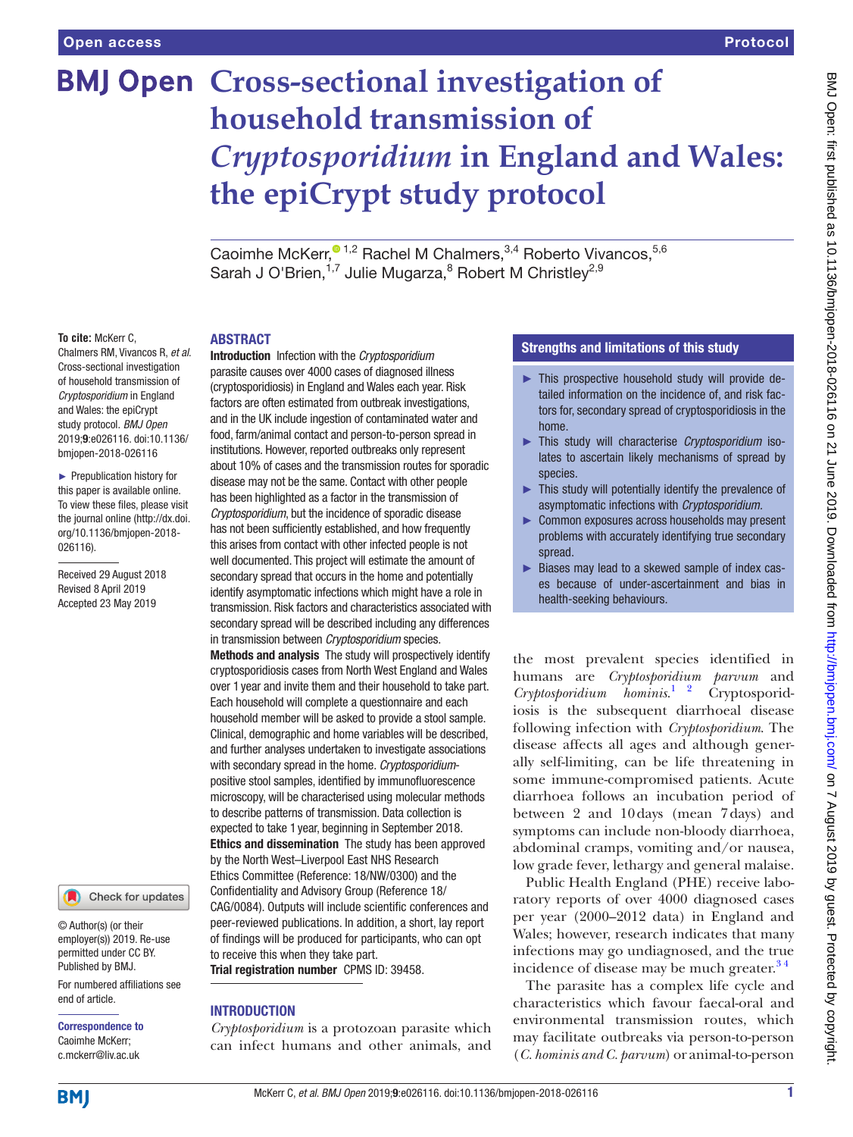# **BMJ Open Cross-sectional investigation of household transmission of**  *Cryptosporidium* **in England and Wales: the epiCrypt study protocol**

CaoimheMcKerr,<sup>01,2</sup> Rachel M Chalmers,<sup>3,4</sup> Roberto Vivancos,<sup>5,6</sup> Sarah J O'Brien,<sup>1,7</sup> Julie Mugarza,<sup>8</sup> Robert M Christley<sup>2,9</sup>

#### **To cite:** McKerr C,

Chalmers RM, Vivancos R, *et al*. Cross-sectional investigation of household transmission of *Cryptosporidium* in England and Wales: the epiCrypt study protocol. *BMJ Open* 2019;9:e026116. doi:10.1136/ bmjopen-2018-026116

► Prepublication history for this paper is available online. To view these files, please visit the journal online [\(http://dx.doi.](http://dx.doi.org/10.1136/bmjopen-2018-026116) [org/10.1136/bmjopen-2018-](http://dx.doi.org/10.1136/bmjopen-2018-026116) [026116\)](http://dx.doi.org/10.1136/bmjopen-2018-026116).

Received 29 August 2018 Revised 8 April 2019 Accepted 23 May 2019



© Author(s) (or their employer(s)) 2019. Re-use permitted under CC BY. Published by BMJ.

For numbered affiliations see end of article.

Correspondence to Caoimhe McKerr; c.mckerr@liv.ac.uk

## **ABSTRACT**

Introduction Infection with the *Cryptosporidium* parasite causes over 4000 cases of diagnosed illness (cryptosporidiosis) in England and Wales each year. Risk factors are often estimated from outbreak investigations, and in the UK include ingestion of contaminated water and food, farm/animal contact and person-to-person spread in institutions. However, reported outbreaks only represent about 10% of cases and the transmission routes for sporadic disease may not be the same. Contact with other people has been highlighted as a factor in the transmission of *Cryptosporidium*, but the incidence of sporadic disease has not been sufficiently established, and how frequently this arises from contact with other infected people is not well documented. This project will estimate the amount of secondary spread that occurs in the home and potentially identify asymptomatic infections which might have a role in transmission. Risk factors and characteristics associated with secondary spread will be described including any differences in transmission between *Cryptosporidium* species.

Methods and analysis The study will prospectively identify cryptosporidiosis cases from North West England and Wales over 1year and invite them and their household to take part. Each household will complete a questionnaire and each household member will be asked to provide a stool sample. Clinical, demographic and home variables will be described, and further analyses undertaken to investigate associations with secondary spread in the home. *Cryptosporidium*positive stool samples, identified by immunofluorescence microscopy, will be characterised using molecular methods to describe patterns of transmission. Data collection is expected to take 1year, beginning in September 2018. Ethics and dissemination The study has been approved by the North West–Liverpool East NHS Research Ethics Committee (Reference: 18/NW/0300) and the Confidentiality and Advisory Group (Reference 18/ CAG/0084). Outputs will include scientific conferences and peer-reviewed publications. In addition, a short, lay report of findings will be produced for participants, who can opt to receive this when they take part.

Trial registration number CPMS ID: 39458.

#### **INTRODUCTION**

*Cryptosporidium* is a protozoan parasite which can infect humans and other animals, and

# Strengths and limitations of this study

- ► This prospective household study will provide detailed information on the incidence of, and risk factors for, secondary spread of cryptosporidiosis in the home.
- ► This study will characterise *Cryptosporidium* isolates to ascertain likely mechanisms of spread by species.
- ► This study will potentially identify the prevalence of asymptomatic infections with *Cryptosporidium.*
- ► Common exposures across households may present problems with accurately identifying true secondary spread.
- ► Biases may lead to a skewed sample of index cases because of under-ascertainment and bias in health-seeking behaviours.

the most prevalent species identified in humans are *Cryptosporidium parvum* and *Cryptosporidium hominis*. Cryptosporidiosis is the subsequent diarrhoeal disease following infection with *Cryptosporidium*. The disease affects all ages and although generally self-limiting, can be life threatening in some immune-compromised patients. Acute diarrhoea follows an incubation period of between 2 and 10days (mean 7days) and symptoms can include non-bloody diarrhoea, abdominal cramps, vomiting and/or nausea, low grade fever, lethargy and general malaise.

Public Health England (PHE) receive laboratory reports of over 4000 diagnosed cases per year (2000–2012 data) in England and Wales; however, research indicates that many infections may go undiagnosed, and the true incidence of disease may be much greater. $34$ 

The parasite has a complex life cycle and characteristics which favour faecal-oral and environmental transmission routes, which may facilitate outbreaks via person-to-person (*C. hominis and C. parvum*) or animal-to-person

**BMI**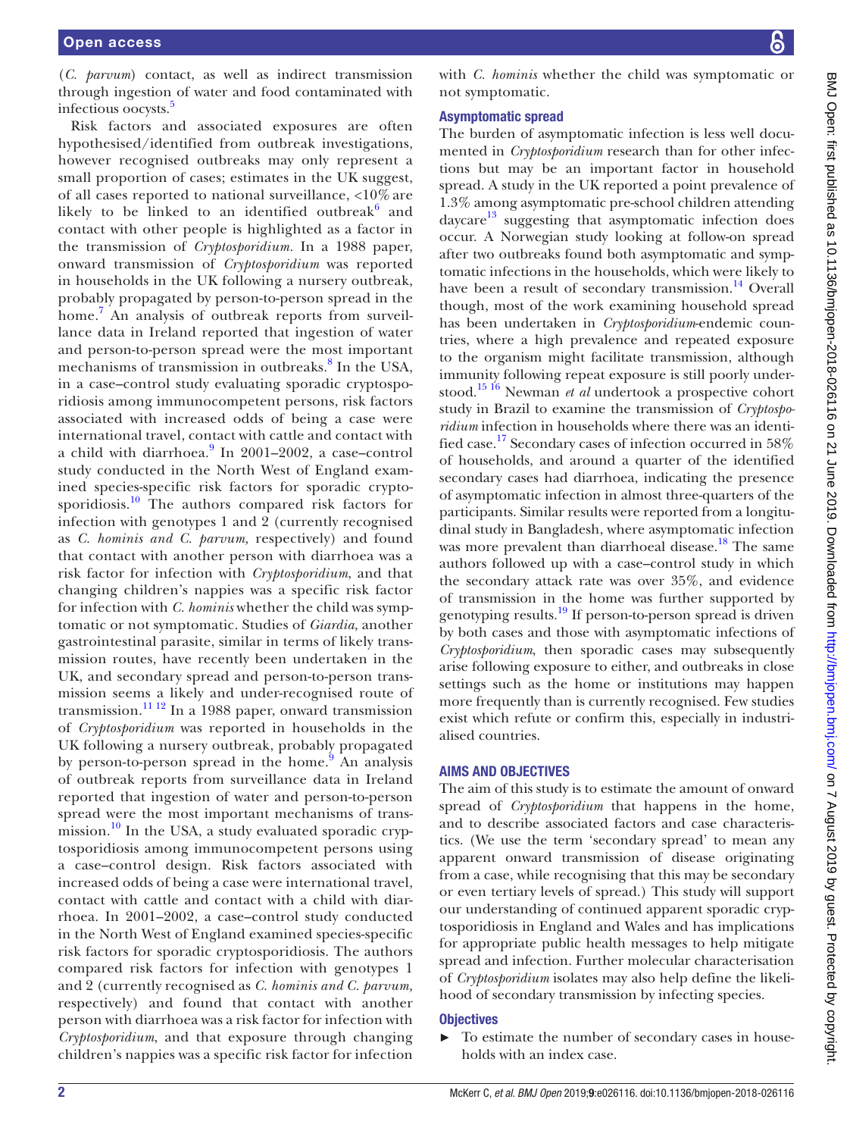(*C. parvum*) contact, as well as indirect transmission through ingestion of water and food contaminated with infectious oocysts.<sup>[5](#page-7-2)</sup>

Risk factors and associated exposures are often hypothesised/identified from outbreak investigations, however recognised outbreaks may only represent a small proportion of cases; estimates in the UK suggest, of all cases reported to national surveillance, <10% are likely to be linked to an identified outbreak $6$  and contact with other people is highlighted as a factor in the transmission of *Cryptosporidium.* In a 1988 paper, onward transmission of *Cryptosporidium* was reported in households in the UK following a nursery outbreak, probably propagated by person-to-person spread in the home.[7](#page-7-4) An analysis of outbreak reports from surveillance data in Ireland reported that ingestion of water and person-to-person spread were the most important mechanisms of transmission in outbreaks.<sup>[8](#page-7-5)</sup> In the USA, in a case–control study evaluating sporadic cryptosporidiosis among immunocompetent persons, risk factors associated with increased odds of being a case were international travel, contact with cattle and contact with a child with diarrhoea.<sup>[9](#page-7-6)</sup> In 2001–2002, a case–control study conducted in the North West of England examined species-specific risk factors for sporadic cryptosporidiosis.<sup>10</sup> The authors compared risk factors for infection with genotypes 1 and 2 (currently recognised as *C. hominis and C. parvum,* respectively) and found that contact with another person with diarrhoea was a risk factor for infection with *Cryptosporidium*, and that changing children's nappies was a specific risk factor for infection with *C. hominis* whether the child was symptomatic or not symptomatic. Studies of *Giardia*, another gastrointestinal parasite, similar in terms of likely transmission routes, have recently been undertaken in the UK, and secondary spread and person-to-person transmission seems a likely and under-recognised route of transmission.<sup>11 12</sup> In a 1988 paper, onward transmission of *Cryptosporidium* was reported in households in the UK following a nursery outbreak, probably propagated by person-to-person spread in the home.<sup>[9](#page-7-6)</sup> An analysis of outbreak reports from surveillance data in Ireland reported that ingestion of water and person-to-person spread were the most important mechanisms of trans-mission.<sup>[10](#page-7-7)</sup> In the USA, a study evaluated sporadic cryptosporidiosis among immunocompetent persons using a case–control design. Risk factors associated with increased odds of being a case were international travel, contact with cattle and contact with a child with diarrhoea. In 2001–2002, a case–control study conducted in the North West of England examined species-specific risk factors for sporadic cryptosporidiosis. The authors compared risk factors for infection with genotypes 1 and 2 (currently recognised as *C. hominis and C. parvum,* respectively) and found that contact with another person with diarrhoea was a risk factor for infection with *Cryptosporidium*, and that exposure through changing children's nappies was a specific risk factor for infection

with *C. hominis* whether the child was symptomatic or not symptomatic.

#### Asymptomatic spread

The burden of asymptomatic infection is less well documented in *Cryptosporidium* research than for other infections but may be an important factor in household spread. A study in the UK reported a point prevalence of 1.3% among asymptomatic pre-school children attending daycare $13$  suggesting that asymptomatic infection does occur. A Norwegian study looking at follow-on spread after two outbreaks found both asymptomatic and symptomatic infections in the households, which were likely to have been a result of secondary transmission.<sup>14</sup> Overall though, most of the work examining household spread has been undertaken in *Cryptosporidium*-endemic countries, where a high prevalence and repeated exposure to the organism might facilitate transmission, although immunity following repeat exposure is still poorly understood[.15 16](#page-7-11) Newman *et al* undertook a prospective cohort study in Brazil to examine the transmission of *Cryptosporidium* infection in households where there was an identified case.[17](#page-7-12) Secondary cases of infection occurred in 58% of households, and around a quarter of the identified secondary cases had diarrhoea, indicating the presence of asymptomatic infection in almost three-quarters of the participants. Similar results were reported from a longitudinal study in Bangladesh, where asymptomatic infection was more prevalent than diarrhoeal disease.<sup>18</sup> The same authors followed up with a case–control study in which the secondary attack rate was over 35%, and evidence of transmission in the home was further supported by genotyping results[.19](#page-8-0) If person-to-person spread is driven by both cases and those with asymptomatic infections of *Cryptosporidium*, then sporadic cases may subsequently arise following exposure to either, and outbreaks in close settings such as the home or institutions may happen more frequently than is currently recognised. Few studies exist which refute or confirm this, especially in industrialised countries.

#### Aims and objectives

The aim of this study is to estimate the amount of onward spread of *Cryptosporidium* that happens in the home, and to describe associated factors and case characteristics. (We use the term 'secondary spread' to mean any apparent onward transmission of disease originating from a case, while recognising that this may be secondary or even tertiary levels of spread.) This study will support our understanding of continued apparent sporadic cryptosporidiosis in England and Wales and has implications for appropriate public health messages to help mitigate spread and infection. Further molecular characterisation of *Cryptosporidium* isolates may also help define the likelihood of secondary transmission by infecting species.

#### **Objectives**

► To estimate the number of secondary cases in households with an index case.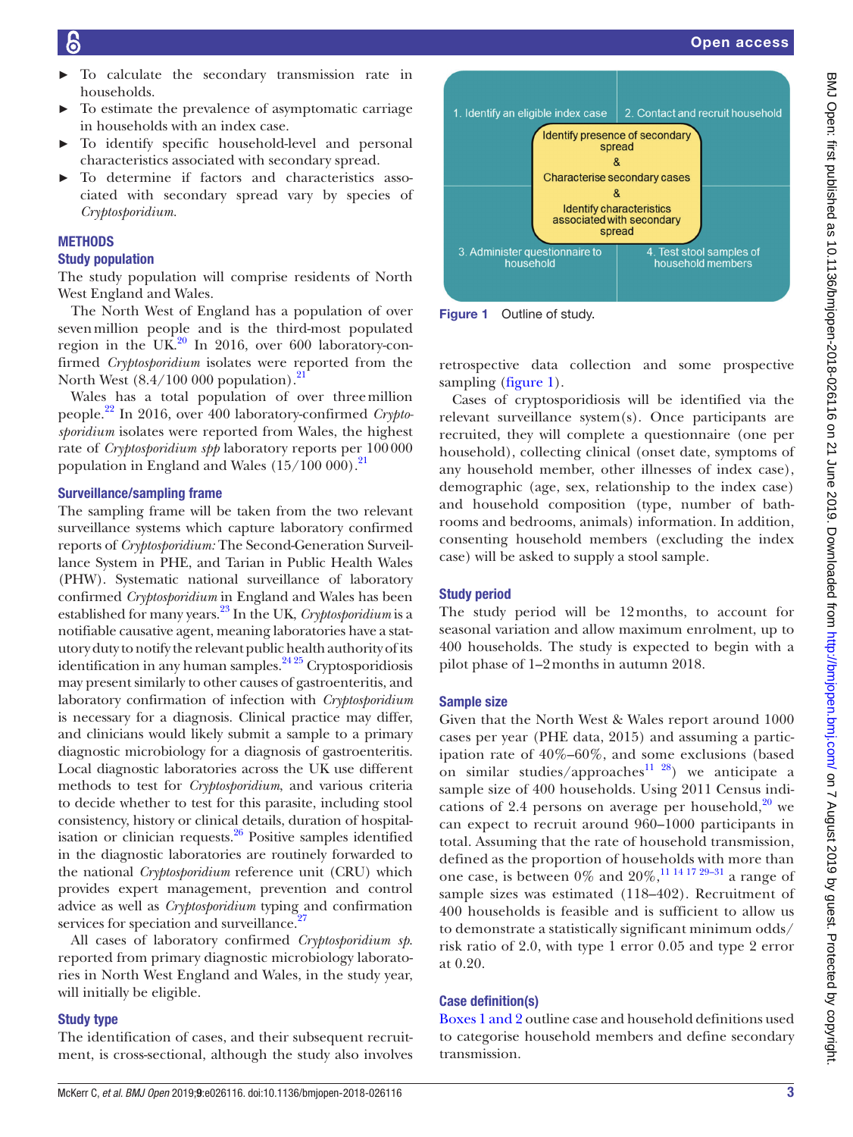- To calculate the secondary transmission rate in households.
- To estimate the prevalence of asymptomatic carriage in households with an index case.
- To identify specific household-level and personal characteristics associated with secondary spread.
- To determine if factors and characteristics associated with secondary spread vary by species of *Cryptosporidium.*

#### **METHODS**

#### Study population

The study population will comprise residents of North West England and Wales.

The North West of England has a population of over sevenmillion people and is the third-most populated region in the UK. $^{20}$  In 2016, over 600 laboratory-confirmed *Cryptosporidium* isolates were reported from the North West  $(8.4/100\ 000$  population).<sup>2</sup>

Wales has a total population of over threemillion people[.22](#page-8-3) In 2016, over 400 laboratory-confirmed *Cryptosporidium* isolates were reported from Wales, the highest rate of *Cryptosporidium spp* laboratory reports per 100000 population in England and Wales  $(15/100 000).$ <sup>21</sup>

#### Surveillance/sampling frame

The sampling frame will be taken from the two relevant surveillance systems which capture laboratory confirmed reports of *Cryptosporidium:* The Second-Generation Surveillance System in PHE, and Tarian in Public Health Wales (PHW). Systematic national surveillance of laboratory confirmed *Cryptosporidium* in England and Wales has been established for many years.[23](#page-8-4) In the UK, *Cryptosporidium* is a notifiable causative agent, meaning laboratories have a statutory duty to notify the relevant public health authority of its identification in any human samples. $24\frac{25}{5}$  Cryptosporidiosis may present similarly to other causes of gastroenteritis, and laboratory confirmation of infection with *Cryptosporidium* is necessary for a diagnosis. Clinical practice may differ, and clinicians would likely submit a sample to a primary diagnostic microbiology for a diagnosis of gastroenteritis. Local diagnostic laboratories across the UK use different methods to test for *Cryptosporidium*, and various criteria to decide whether to test for this parasite, including stool consistency, history or clinical details, duration of hospitalisation or clinician requests. $26$  Positive samples identified in the diagnostic laboratories are routinely forwarded to the national *Cryptosporidium* reference unit (CRU) which provides expert management, prevention and control advice as well as *Cryptosporidium* typing and confirmation services for speciation and surveillance.<sup>2</sup>

All cases of laboratory confirmed *Cryptosporidium sp*. reported from primary diagnostic microbiology laboratories in North West England and Wales, in the study year, will initially be eligible.

#### Study type

The identification of cases, and their subsequent recruitment, is cross-sectional, although the study also involves



<span id="page-2-0"></span>Figure 1 Outline of study.

retrospective data collection and some prospective sampling [\(figure](#page-2-0) 1).

Cases of cryptosporidiosis will be identified via the relevant surveillance system(s). Once participants are recruited, they will complete a questionnaire (one per household), collecting clinical (onset date, symptoms of any household member, other illnesses of index case), demographic (age, sex, relationship to the index case) and household composition (type, number of bathrooms and bedrooms, animals) information. In addition, consenting household members (excluding the index case) will be asked to supply a stool sample.

#### Study period

The study period will be 12months, to account for seasonal variation and allow maximum enrolment, up to 400 households. The study is expected to begin with a pilot phase of 1–2months in autumn 2018.

#### Sample size

Given that the North West & Wales report around 1000 cases per year (PHE data, 2015) and assuming a participation rate of 40%–60%, and some exclusions (based on similar studies/approaches<sup>11 28</sup>) we anticipate a sample size of 400 households. Using 2011 Census indications of 2.4 persons on average per household, $20$  we can expect to recruit around 960–1000 participants in total. Assuming that the rate of household transmission, defined as the proportion of households with more than one case, is between  $0\%$  and  $20\%$ ,<sup>11 14 17 29–31</sup> a range of sample sizes was estimated (118–402). Recruitment of 400 households is feasible and is sufficient to allow us to demonstrate a statistically significant minimum odds/ risk ratio of 2.0, with type 1 error 0.05 and type 2 error at 0.20.

#### Case definition(s)

[Boxes 1 and 2](#page-3-0) outline case and household definitions used to categorise household members and define secondary transmission.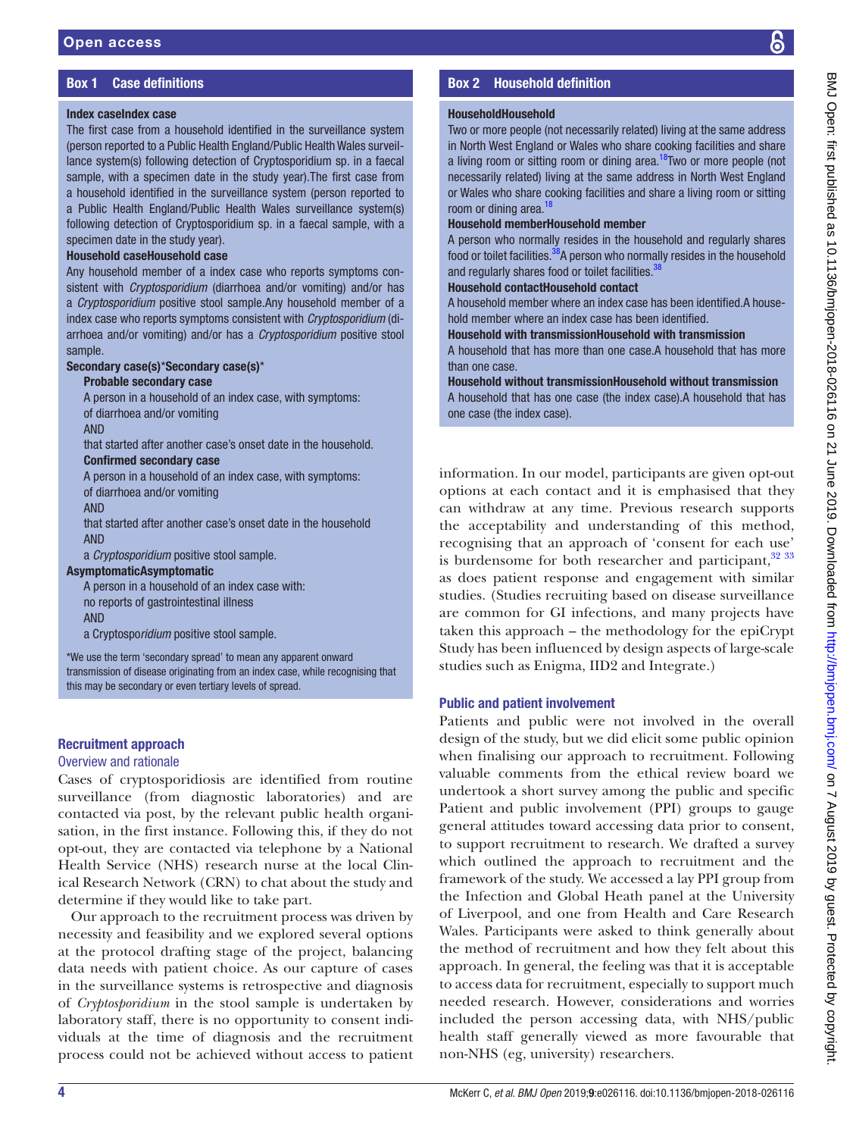# Box 1 Case definitions

#### <span id="page-3-0"></span>Index caseIndex case

The first case from a household identified in the surveillance system (person reported to a Public Health England/Public Health Wales surveillance system(s) following detection of Cryptosporidium sp. in a faecal sample, with a specimen date in the study year).The first case from a household identified in the surveillance system (person reported to a Public Health England/Public Health Wales surveillance system(s) following detection of Cryptosporidium sp. in a faecal sample, with a specimen date in the study year).

#### Household caseHousehold case

Any household member of a index case who reports symptoms consistent with *Cryptosporidium* (diarrhoea and/or vomiting) and/or has a *Cryptosporidium* positive stool sample.Any household member of a index case who reports symptoms consistent with *Cryptosporidium* (diarrhoea and/or vomiting) and/or has a *Cryptosporidium* positive stool sample.

#### Secondary case(s)\*Secondary case(s)\*

#### Probable secondary case

A person in a household of an index case, with symptoms: of diarrhoea and/or vomiting

AND

that started after another case's onset date in the household. Confirmed secondary case

A person in a household of an index case, with symptoms: of diarrhoea and/or vomiting

AND

that started after another case's onset date in the household AND

a *Cryptosporidium* positive stool sample.

#### AsymptomaticAsymptomatic

A person in a household of an index case with: no reports of gastrointestinal illness AND

a Cryptospo*ridium* positive stool sample.

\*We use the term 'secondary spread' to mean any apparent onward transmission of disease originating from an index case, while recognising that this may be secondary or even tertiary levels of spread.

# Recruitment approach

#### Overview and rationale

Cases of cryptosporidiosis are identified from routine surveillance (from diagnostic laboratories) and are contacted via post, by the relevant public health organisation, in the first instance. Following this, if they do not opt-out, they are contacted via telephone by a National Health Service (NHS) research nurse at the local Clinical Research Network (CRN) to chat about the study and determine if they would like to take part.

Our approach to the recruitment process was driven by necessity and feasibility and we explored several options at the protocol drafting stage of the project, balancing data needs with patient choice. As our capture of cases in the surveillance systems is retrospective and diagnosis of *Cryptosporidium* in the stool sample is undertaken by laboratory staff, there is no opportunity to consent individuals at the time of diagnosis and the recruitment process could not be achieved without access to patient

# Box 2 Household definition

#### HouseholdHousehold

Two or more people (not necessarily related) living at the same address in North West England or Wales who share cooking facilities and share a living room or sitting room or dining area.<sup>[18](#page-7-13)</sup>Two or more people (not necessarily related) living at the same address in North West England or Wales who share cooking facilities and share a living room or sitting room or dining area. $1$ 

#### Household memberHousehold member

A person who normally resides in the household and regularly shares food or toilet facilities.<sup>[38](#page-8-9)</sup>A person who normally resides in the household and regularly shares food or toilet facilities.<sup>3</sup>

#### Household contactHousehold contact

A household member where an index case has been identified.A household member where an index case has been identified.

#### Household with transmissionHousehold with transmission

A household that has more than one case.A household that has more than one case.

Household without transmissionHousehold without transmission A household that has one case (the index case).A household that has one case (the index case).

information. In our model, participants are given opt-out options at each contact and it is emphasised that they can withdraw at any time. Previous research supports the acceptability and understanding of this method, recognising that an approach of 'consent for each use' is burdensome for both researcher and participant, $32\frac{33}{33}$ as does patient response and engagement with similar studies. (Studies recruiting based on disease surveillance are common for GI infections, and many projects have taken this approach – the methodology for the epiCrypt Study has been influenced by design aspects of large-scale studies such as Enigma, IID2 and Integrate.)

# Public and patient involvement

Patients and public were not involved in the overall design of the study, but we did elicit some public opinion when finalising our approach to recruitment. Following valuable comments from the ethical review board we undertook a short survey among the public and specific Patient and public involvement (PPI) groups to gauge general attitudes toward accessing data prior to consent, to support recruitment to research. We drafted a survey which outlined the approach to recruitment and the framework of the study. We accessed a lay PPI group from the Infection and Global Heath panel at the University of Liverpool, and one from Health and Care Research Wales. Participants were asked to think generally about the method of recruitment and how they felt about this approach. In general, the feeling was that it is acceptable to access data for recruitment, especially to support much needed research. However, considerations and worries included the person accessing data, with NHS/public health staff generally viewed as more favourable that non-NHS (eg, university) researchers.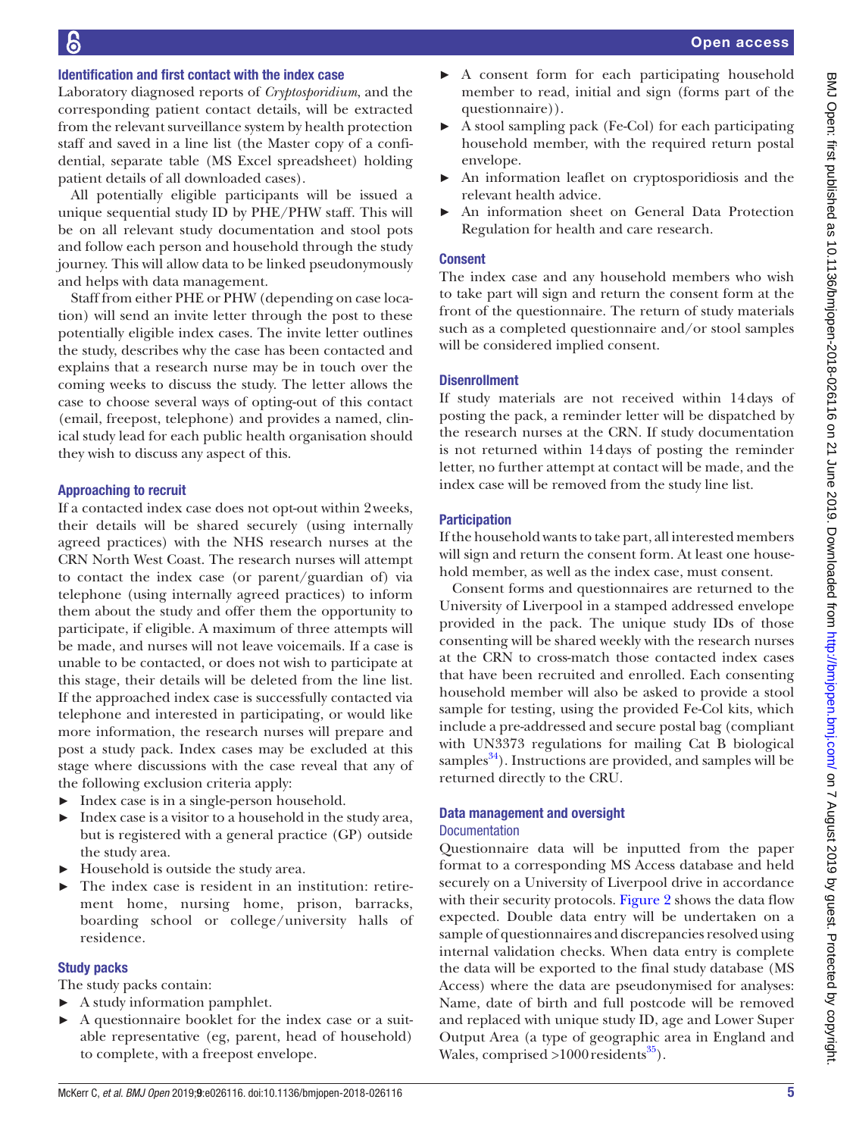# Identification and first contact with the index case

Laboratory diagnosed reports of *Cryptosporidium*, and the corresponding patient contact details, will be extracted from the relevant surveillance system by health protection staff and saved in a line list (the Master copy of a confidential, separate table (MS Excel spreadsheet) holding patient details of all downloaded cases).

All potentially eligible participants will be issued a unique sequential study ID by PHE/PHW staff. This will be on all relevant study documentation and stool pots and follow each person and household through the study journey. This will allow data to be linked pseudonymously and helps with data management.

Staff from either PHE or PHW (depending on case location) will send an invite letter through the post to these potentially eligible index cases. The invite letter outlines the study, describes why the case has been contacted and explains that a research nurse may be in touch over the coming weeks to discuss the study. The letter allows the case to choose several ways of opting-out of this contact (email, freepost, telephone) and provides a named, clinical study lead for each public health organisation should they wish to discuss any aspect of this.

#### Approaching to recruit

If a contacted index case does not opt-out within 2weeks, their details will be shared securely (using internally agreed practices) with the NHS research nurses at the CRN North West Coast. The research nurses will attempt to contact the index case (or parent/guardian of) via telephone (using internally agreed practices) to inform them about the study and offer them the opportunity to participate, if eligible. A maximum of three attempts will be made, and nurses will not leave voicemails. If a case is unable to be contacted, or does not wish to participate at this stage, their details will be deleted from the line list. If the approached index case is successfully contacted via telephone and interested in participating, or would like more information, the research nurses will prepare and post a study pack. Index cases may be excluded at this stage where discussions with the case reveal that any of the following exclusion criteria apply:

- ► Index case is in a single-person household.
- $\blacktriangleright$  Index case is a visitor to a household in the study area, but is registered with a general practice (GP) outside the study area.
- ► Household is outside the study area.
- ► The index case is resident in an institution: retirement home, nursing home, prison, barracks, boarding school or college/university halls of residence.

#### Study packs

The study packs contain:

- ► A study information pamphlet.
- ► A questionnaire booklet for the index case or a suitable representative (eg, parent, head of household) to complete, with a freepost envelope.
- ► A consent form for each participating household member to read, initial and sign (forms part of the questionnaire)).
- ► A stool sampling pack (Fe-Col) for each participating household member, with the required return postal envelope.
- An information leaflet on cryptosporidiosis and the relevant health advice.
- ► An information sheet on General Data Protection Regulation for health and care research.

# **Consent**

The index case and any household members who wish to take part will sign and return the consent form at the front of the questionnaire. The return of study materials such as a completed questionnaire and/or stool samples will be considered implied consent.

## Disenrollment

If study materials are not received within 14days of posting the pack, a reminder letter will be dispatched by the research nurses at the CRN. If study documentation is not returned within 14days of posting the reminder letter, no further attempt at contact will be made, and the index case will be removed from the study line list.

#### **Participation**

If the household wants to take part, all interested members will sign and return the consent form. At least one household member, as well as the index case, must consent.

Consent forms and questionnaires are returned to the University of Liverpool in a stamped addressed envelope provided in the pack. The unique study IDs of those consenting will be shared weekly with the research nurses at the CRN to cross-match those contacted index cases that have been recruited and enrolled. Each consenting household member will also be asked to provide a stool sample for testing, using the provided Fe-Col kits, which include a pre-addressed and secure postal bag (compliant with UN3373 regulations for mailing Cat B biological samples $^{34}$ ). Instructions are provided, and samples will be returned directly to the CRU.

# Data management and oversight

# Documentation

Questionnaire data will be inputted from the paper format to a corresponding MS Access database and held securely on a University of Liverpool drive in accordance with their security protocols. [Figure](#page-5-0) 2 shows the data flow expected. Double data entry will be undertaken on a sample of questionnaires and discrepancies resolved using internal validation checks. When data entry is complete the data will be exported to the final study database (MS Access) where the data are pseudonymised for analyses: Name, date of birth and full postcode will be removed and replaced with unique study ID, age and Lower Super Output Area (a type of geographic area in England and Wales, comprised  $>1000$  residents<sup>[35](#page-8-11)</sup>).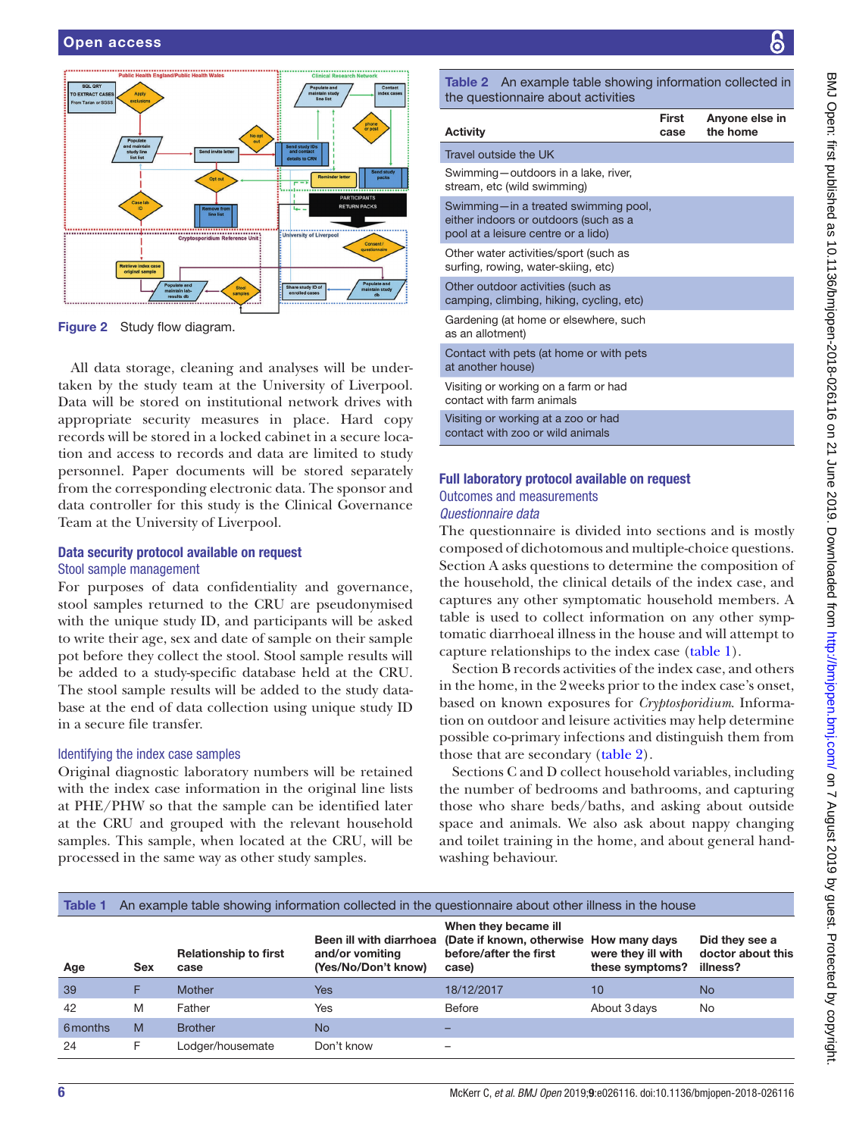

<span id="page-5-0"></span>Figure 2 Study flow diagram.

All data storage, cleaning and analyses will be undertaken by the study team at the University of Liverpool. Data will be stored on institutional network drives with appropriate security measures in place. Hard copy records will be stored in a locked cabinet in a secure location and access to records and data are limited to study personnel. Paper documents will be stored separately from the corresponding electronic data. The sponsor and data controller for this study is the Clinical Governance Team at the University of Liverpool.

#### Data security protocol available on request Stool sample management

For purposes of data confidentiality and governance, stool samples returned to the CRU are pseudonymised with the unique study ID, and participants will be asked to write their age, sex and date of sample on their sample pot before they collect the stool. Stool sample results will be added to a study-specific database held at the CRU. The stool sample results will be added to the study database at the end of data collection using unique study ID in a secure file transfer.

#### Identifying the index case samples

Original diagnostic laboratory numbers will be retained with the index case information in the original line lists at PHE/PHW so that the sample can be identified later at the CRU and grouped with the relevant household samples. This sample, when located at the CRU, will be processed in the same way as other study samples.

<span id="page-5-2"></span>Table 2 An example table showing information collected in the questionnaire about activities

| <b>Activity</b>                                                                                                      | First<br>case | Anyone else in<br>the home |
|----------------------------------------------------------------------------------------------------------------------|---------------|----------------------------|
| Travel outside the UK                                                                                                |               |                            |
| Swimming-outdoors in a lake, river,<br>stream, etc (wild swimming)                                                   |               |                            |
| Swimming-in a treated swimming pool,<br>either indoors or outdoors (such as a<br>pool at a leisure centre or a lido) |               |                            |
| Other water activities/sport (such as<br>surfing, rowing, water-skiing, etc)                                         |               |                            |
| Other outdoor activities (such as<br>camping, climbing, hiking, cycling, etc)                                        |               |                            |
| Gardening (at home or elsewhere, such<br>as an allotment)                                                            |               |                            |
| Contact with pets (at home or with pets<br>at another house)                                                         |               |                            |
| Visiting or working on a farm or had<br>contact with farm animals                                                    |               |                            |
| Visiting or working at a zoo or had<br>contact with zoo or wild animals                                              |               |                            |

### Full laboratory protocol available on request Outcomes and measurements *Questionnaire data*

The questionnaire is divided into sections and is mostly composed of dichotomous and multiple-choice questions. Section A asks questions to determine the composition of the household, the clinical details of the index case, and captures any other symptomatic household members. A table is used to collect information on any other symptomatic diarrhoeal illness in the house and will attempt to capture relationships to the index case ([table](#page-5-1) 1).

Section B records activities of the index case, and others in the home, in the 2weeks prior to the index case's onset, based on known exposures for *Cryptosporidium*. Information on outdoor and leisure activities may help determine possible co-primary infections and distinguish them from those that are secondary ([table](#page-5-2) 2).

Sections C and D collect household variables, including the number of bedrooms and bathrooms, and capturing those who share beds/baths, and asking about outside space and animals. We also ask about nappy changing and toilet training in the home, and about general handwashing behaviour.

<span id="page-5-1"></span>

|  | <b>Table 1</b> An example table showing information collected in the questionnaire about other illness in the house |
|--|---------------------------------------------------------------------------------------------------------------------|
|  |                                                                                                                     |

| Age      | Sex | <b>Relationship to first</b><br>case | and/or vomiting<br>(Yes/No/Don't know) | When they became ill<br>Been ill with diarrhoea (Date if known, otherwise How many days<br>before/after the first<br>case) | were they ill with<br>these symptoms? | Did they see a<br>doctor about this<br>illness? |
|----------|-----|--------------------------------------|----------------------------------------|----------------------------------------------------------------------------------------------------------------------------|---------------------------------------|-------------------------------------------------|
| 39       |     | Mother                               | Yes                                    | 18/12/2017                                                                                                                 | 10                                    | No                                              |
| 42       | M   | Father                               | Yes                                    | Before                                                                                                                     | About 3 days                          | No.                                             |
| 6 months | M   | <b>Brother</b>                       | No                                     | -                                                                                                                          |                                       |                                                 |
| 24       | F.  | Lodger/housemate                     | Don't know                             | $\overline{\phantom{0}}$                                                                                                   |                                       |                                                 |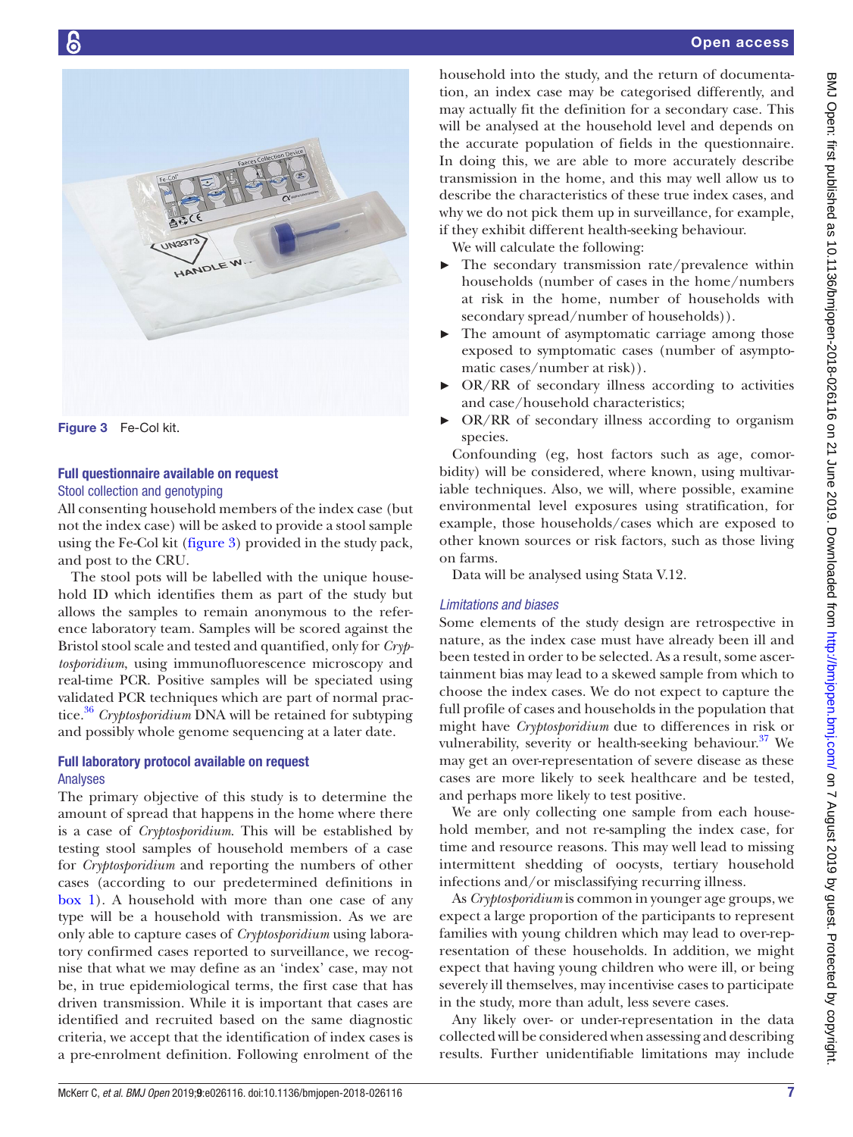

Figure 3 Fe-Col kit.

# <span id="page-6-0"></span>Full questionnaire available on request Stool collection and genotyping

All consenting household members of the index case (but not the index case) will be asked to provide a stool sample using the Fe-Col kit [\(figure](#page-6-0) 3) provided in the study pack, and post to the CRU.

The stool pots will be labelled with the unique household ID which identifies them as part of the study but allows the samples to remain anonymous to the reference laboratory team. Samples will be scored against the Bristol stool scale and tested and quantified, only for *Cryptosporidium*, using immunofluorescence microscopy and real-time PCR. Positive samples will be speciated using validated PCR techniques which are part of normal prac-tice.<sup>[36](#page-8-12)</sup> Cryptosporidium DNA will be retained for subtyping and possibly whole genome sequencing at a later date.

# Full laboratory protocol available on request Analyses

The primary objective of this study is to determine the amount of spread that happens in the home where there is a case of *Cryptosporidium*. This will be established by testing stool samples of household members of a case for *Cryptosporidium* and reporting the numbers of other cases (according to our predetermined definitions in [box](#page-3-0) 1). A household with more than one case of any type will be a household with transmission. As we are only able to capture cases of *Cryptosporidium* using laboratory confirmed cases reported to surveillance, we recognise that what we may define as an 'index' case, may not be, in true epidemiological terms, the first case that has driven transmission. While it is important that cases are identified and recruited based on the same diagnostic criteria, we accept that the identification of index cases is a pre-enrolment definition. Following enrolment of the

household into the study, and the return of documentation, an index case may be categorised differently, and may actually fit the definition for a secondary case. This will be analysed at the household level and depends on the accurate population of fields in the questionnaire. In doing this, we are able to more accurately describe transmission in the home, and this may well allow us to describe the characteristics of these true index cases, and why we do not pick them up in surveillance, for example, if they exhibit different health-seeking behaviour.

We will calculate the following:

- $\blacktriangleright$  The secondary transmission rate/prevalence within households (number of cases in the home/numbers at risk in the home, number of households with secondary spread/number of households)).
- The amount of asymptomatic carriage among those exposed to symptomatic cases (number of asymptomatic cases/number at risk)).
- ► OR/RR of secondary illness according to activities and case/household characteristics;
- ► OR/RR of secondary illness according to organism species.

Confounding (eg, host factors such as age, comorbidity) will be considered, where known, using multivariable techniques. Also, we will, where possible, examine environmental level exposures using stratification, for example, those households/cases which are exposed to other known sources or risk factors, such as those living on farms.

Data will be analysed using Stata V.12.

# *Limitations and biases*

Some elements of the study design are retrospective in nature, as the index case must have already been ill and been tested in order to be selected. As a result, some ascertainment bias may lead to a skewed sample from which to choose the index cases. We do not expect to capture the full profile of cases and households in the population that might have *Cryptosporidium* due to differences in risk or vulnerability, severity or health-seeking behaviour.<sup>[37](#page-8-13)</sup> We may get an over-representation of severe disease as these cases are more likely to seek healthcare and be tested, and perhaps more likely to test positive.

We are only collecting one sample from each household member, and not re-sampling the index case, for time and resource reasons. This may well lead to missing intermittent shedding of oocysts, tertiary household infections and/or misclassifying recurring illness.

As *Cryptosporidium* is common in younger age groups, we expect a large proportion of the participants to represent families with young children which may lead to over-representation of these households. In addition, we might expect that having young children who were ill, or being severely ill themselves, may incentivise cases to participate in the study, more than adult, less severe cases.

Any likely over- or under-representation in the data collected will be considered when assessing and describing results. Further unidentifiable limitations may include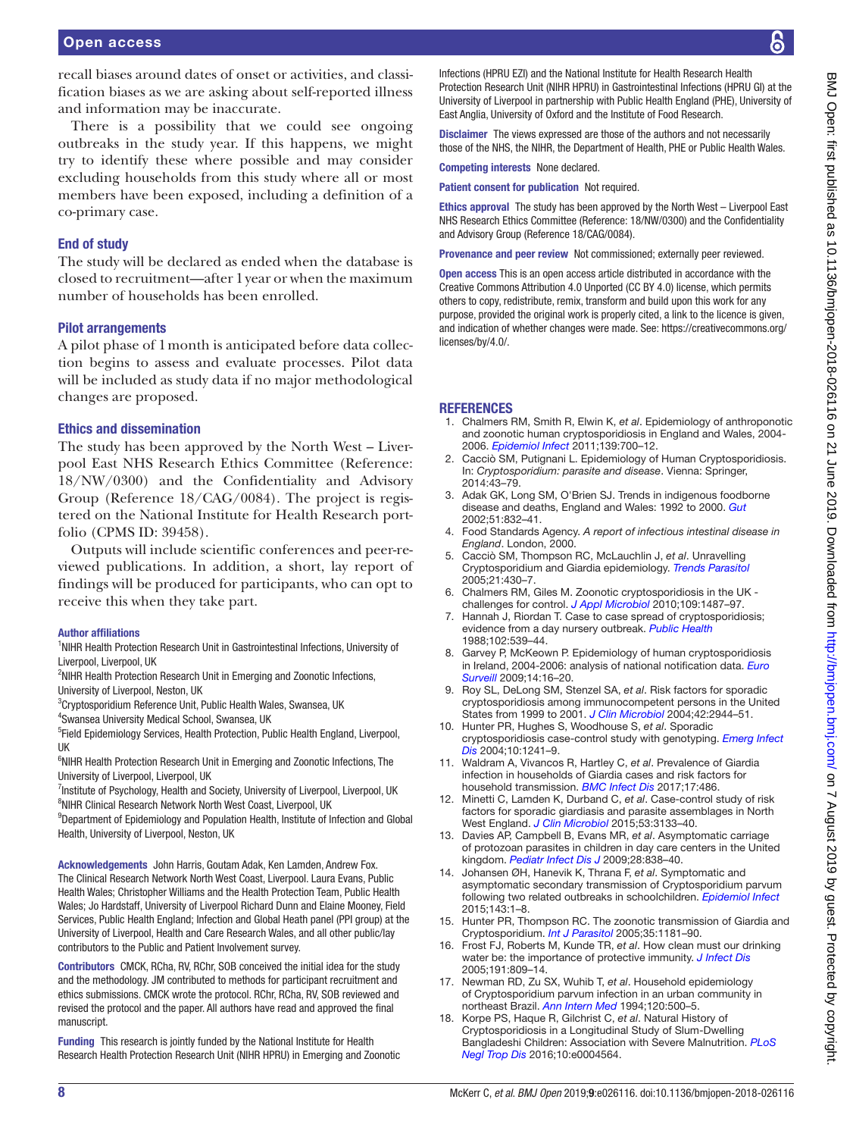recall biases around dates of onset or activities, and classification biases as we are asking about self-reported illness and information may be inaccurate.

There is a possibility that we could see ongoing outbreaks in the study year. If this happens, we might try to identify these where possible and may consider excluding households from this study where all or most members have been exposed, including a definition of a co-primary case.

# End of study

The study will be declared as ended when the database is closed to recruitment—after 1year or when the maximum number of households has been enrolled.

#### Pilot arrangements

A pilot phase of 1month is anticipated before data collection begins to assess and evaluate processes. Pilot data will be included as study data if no major methodological changes are proposed.

#### Ethics and dissemination

The study has been approved by the North West – Liverpool East NHS Research Ethics Committee (Reference: 18/NW/0300) and the Confidentiality and Advisory Group (Reference 18/CAG/0084). The project is registered on the National Institute for Health Research portfolio (CPMS ID: 39458).

Outputs will include scientific conferences and peer-reviewed publications. In addition, a short, lay report of findings will be produced for participants, who can opt to receive this when they take part.

#### Author affiliations

<sup>1</sup>NIHR Health Protection Research Unit in Gastrointestinal Infections, University of Liverpool, Liverpool, UK

<sup>2</sup>NIHR Health Protection Research Unit in Emerging and Zoonotic Infections, University of Liverpool, Neston, UK

3 Cryptosporidium Reference Unit, Public Health Wales, Swansea, UK

4 Swansea University Medical School, Swansea, UK

<sup>5</sup>Field Epidemiology Services, Health Protection, Public Health England, Liverpool, UK

<sup>6</sup>NIHR Health Protection Research Unit in Emerging and Zoonotic Infections, The University of Liverpool, Liverpool, UK

<sup>7</sup>Institute of Psychology, Health and Society, University of Liverpool, Liverpool, UK <sup>8</sup>NIHR Clinical Research Network North West Coast, Liverpool, UK

<sup>9</sup>Department of Epidemiology and Population Health, Institute of Infection and Global Health, University of Liverpool, Neston, UK

Acknowledgements John Harris, Goutam Adak, Ken Lamden, Andrew Fox. The Clinical Research Network North West Coast, Liverpool. Laura Evans, Public Health Wales; Christopher Williams and the Health Protection Team, Public Health Wales; Jo Hardstaff, University of Liverpool Richard Dunn and Elaine Mooney, Field Services, Public Health England; Infection and Global Heath panel (PPI group) at the University of Liverpool, Health and Care Research Wales, and all other public/lay contributors to the Public and Patient Involvement survey.

Contributors CMCK, RCha, RV, RChr, SOB conceived the initial idea for the study and the methodology. JM contributed to methods for participant recruitment and ethics submissions. CMCK wrote the protocol. RChr, RCha, RV, SOB reviewed and revised the protocol and the paper. All authors have read and approved the final manuscript.

Funding This research is jointly funded by the National Institute for Health Research Health Protection Research Unit (NIHR HPRU) in Emerging and Zoonotic Infections (HPRU EZI) and the National Institute for Health Research Health Protection Research Unit (NIHR HPRU) in Gastrointestinal Infections (HPRU GI) at the University of Liverpool in partnership with Public Health England (PHE), University of East Anglia, University of Oxford and the Institute of Food Research.

Disclaimer The views expressed are those of the authors and not necessarily those of the NHS, the NIHR, the Department of Health, PHE or Public Health Wales.

Competing interests None declared.

Patient consent for publication Not required.

Ethics approval The study has been approved by the North West – Liverpool East NHS Research Ethics Committee (Reference: 18/NW/0300) and the Confidentiality and Advisory Group (Reference 18/CAG/0084).

Provenance and peer review Not commissioned; externally peer reviewed.

Open access This is an open access article distributed in accordance with the Creative Commons Attribution 4.0 Unported (CC BY 4.0) license, which permits others to copy, redistribute, remix, transform and build upon this work for any purpose, provided the original work is properly cited, a link to the licence is given, and indication of whether changes were made. See: [https://creativecommons.org/](https://creativecommons.org/licenses/by/4.0/) [licenses/by/4.0/](https://creativecommons.org/licenses/by/4.0/).

#### **REFERENCES**

- <span id="page-7-0"></span>1. Chalmers RM, Smith R, Elwin K, *et al*. Epidemiology of anthroponotic and zoonotic human cryptosporidiosis in England and Wales, 2004- 2006. *[Epidemiol Infect](http://dx.doi.org/10.1017/S0950268810001688)* 2011;139:700–12.
- 2. Cacciò SM, Putignani L. Epidemiology of Human Cryptosporidiosis. In: *Cryptosporidium: parasite and disease*. Vienna: Springer, 2014:43–79.
- <span id="page-7-1"></span>3. Adak GK, Long SM, O'Brien SJ. Trends in indigenous foodborne disease and deaths, England and Wales: 1992 to 2000. *[Gut](http://dx.doi.org/10.1136/gut.51.6.832)* 2002;51:832–41.
- 4. Food Standards Agency. *A report of infectious intestinal disease in England*. London, 2000.
- <span id="page-7-2"></span>5. Cacciò SM, Thompson RC, McLauchlin J, *et al*. Unravelling Cryptosporidium and Giardia epidemiology. *[Trends Parasitol](http://dx.doi.org/10.1016/j.pt.2005.06.013)* 2005;21:430–7.
- <span id="page-7-3"></span>6. Chalmers RM, Giles M. Zoonotic cryptosporidiosis in the UK challenges for control. *[J Appl Microbiol](http://dx.doi.org/10.1111/j.1365-2672.2010.04764.x)* 2010;109:1487–97.
- <span id="page-7-4"></span>7. Hannah J, Riordan T. Case to case spread of cryptosporidiosis; evidence from a day nursery outbreak. *[Public Health](http://dx.doi.org/10.1016/S0033-3506(88)80023-4)* 1988;102:539–44.
- <span id="page-7-5"></span>8. Garvey P, McKeown P. Epidemiology of human cryptosporidiosis in Ireland, 2004-2006: analysis of national notification data. *[Euro](http://www.ncbi.nlm.nih.gov/pubmed/19250622)  [Surveill](http://www.ncbi.nlm.nih.gov/pubmed/19250622)* 2009;14:16–20.
- <span id="page-7-6"></span>9. Roy SL, DeLong SM, Stenzel SA, *et al*. Risk factors for sporadic cryptosporidiosis among immunocompetent persons in the United States from 1999 to 2001. *[J Clin Microbiol](http://dx.doi.org/10.1128/JCM.42.7.2944-2951.2004)* 2004;42:2944–51.
- <span id="page-7-7"></span>10. Hunter PR, Hughes S, Woodhouse S, *et al*. Sporadic cryptosporidiosis case-control study with genotyping. *[Emerg Infect](http://dx.doi.org/10.3201/eid1007.030582)  [Dis](http://dx.doi.org/10.3201/eid1007.030582)* 2004;10:1241–9.
- <span id="page-7-8"></span>11. Waldram A, Vivancos R, Hartley C, *et al*. Prevalence of Giardia infection in households of Giardia cases and risk factors for household transmission. *[BMC Infect Dis](http://dx.doi.org/10.1186/s12879-017-2586-3)* 2017;17:486.
- 12. Minetti C, Lamden K, Durband C, *et al*. Case-control study of risk factors for sporadic giardiasis and parasite assemblages in North West England. *[J Clin Microbiol](http://dx.doi.org/10.1128/JCM.00715-15)* 2015;53:3133–40.
- <span id="page-7-9"></span>13. Davies AP, Campbell B, Evans MR, *et al*. Asymptomatic carriage of protozoan parasites in children in day care centers in the United kingdom. *[Pediatr Infect Dis J](http://dx.doi.org/10.1097/INF.0b013e31819d646d)* 2009;28:838–40.
- <span id="page-7-10"></span>14. Johansen ØH, Hanevik K, Thrana F, *et al*. Symptomatic and asymptomatic secondary transmission of Cryptosporidium parvum following two related outbreaks in schoolchildren. *[Epidemiol Infect](http://dx.doi.org/10.1017/S095026881400243X)* 2015;143:1–8.
- <span id="page-7-11"></span>15. Hunter PR, Thompson RC. The zoonotic transmission of Giardia and Cryptosporidium. *[Int J Parasitol](http://dx.doi.org/10.1016/j.ijpara.2005.07.009)* 2005;35:1181–90.
- 16. Frost FJ, Roberts M, Kunde TR, *et al*. How clean must our drinking water be: the importance of protective immunity. *[J Infect Dis](http://dx.doi.org/10.1086/427561)* 2005;191:809–14.
- <span id="page-7-12"></span>17. Newman RD, Zu SX, Wuhib T, *et al*. Household epidemiology of Cryptosporidium parvum infection in an urban community in northeast Brazil. *[Ann Intern Med](http://dx.doi.org/10.7326/0003-4819-120-6-199403150-00009)* 1994;120:500–5.
- <span id="page-7-13"></span>18. Korpe PS, Haque R, Gilchrist C, *et al*. Natural History of Cryptosporidiosis in a Longitudinal Study of Slum-Dwelling Bangladeshi Children: Association with Severe Malnutrition. *[PLoS](http://dx.doi.org/10.1371/journal.pntd.0004564)  [Negl Trop Dis](http://dx.doi.org/10.1371/journal.pntd.0004564)* 2016;10:e0004564.